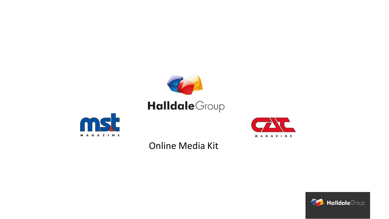



# Online Media Kit



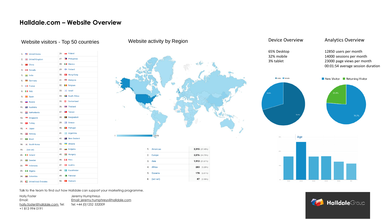## **Halldale.com – Website Overview**

## Website visitors - Top 50 countries Website activity by Region Device Overview

| 1.  | United States            | 26. |   | Poland                            |
|-----|--------------------------|-----|---|-----------------------------------|
| 2.  | ■■ United Kingdom        | 27. |   | $\blacktriangleright$ Philippines |
| 3.  | <b>Exercise</b> China    | 28. |   | <b>II</b> Mexico                  |
| 4.  | l <sup>•</sup> ll Canada | 29. |   | Finland                           |
| 5.  | $\frac{1}{2}$ India      | 30. |   | <b>Ex</b> Hong Kong               |
| 6.  | Germany                  | 31. |   | Malaysia                          |
| 7.  | <b>T</b> France          | 32. |   | <b>Belgium</b>                    |
| 8.  | II Italy                 | 33. |   | sal Israel                        |
| 9.  | $\sum$ Spain             | 34. |   | South Africa                      |
| 10. | Russia                   | 35. | ÷ | Switzerland                       |
| 11. | Australia                | 36. |   | Thailand                          |
| 12. | Netherlands              | 37. |   | Taiwan                            |
| 13. | singapore                | 38. |   | <b>Bangladesh</b>                 |
| 14. | <b>Co</b> Turkey         | 39. |   | <b>ial</b> Greece                 |
| 15. | · Japan                  | 40. |   | <b>Portugal</b>                   |
| 16. | <b>  Norway</b>          | 41. |   | Argentina                         |
| 17. | <b>S</b> Brazil          | 42. |   | New Zealand                       |
| 18. | : South Korea            | 43. |   | <b>Ukraine</b>                    |
| 19. | (not set)                | 44. |   | <b>Bulgaria</b>                   |
| 20. | <b>I</b> I Ireland       | 45. |   | Hungary                           |
| 21. | Sweden                   | 46. |   | <b>I</b> Peru                     |
| 22. | Indonesia                | 47. |   | Austria                           |
| 23. | <b>I</b> Nigeria         | 48. |   | <b>&amp;</b> Kazakhstan           |
| 24. | Colombia                 | 49. |   | <b>E</b> Pakistan                 |
| 25. | United Arab Emirates     | 50. |   | <b>X</b> Vietnam                  |



| 1. Americas     | 3,315 (37.45%)        |
|-----------------|-----------------------|
| Europe<br>2.    | 3,076 (34.75%)        |
| 3.<br>Asia      | 1,913(21.61%)         |
| 4. Africa       | <b>283</b> $(3.20%)$  |
| 5. Oceania      | <b>178</b> $(2.01\%)$ |
| (not set)<br>6. | (0.98%)<br>87         |

Talk to the team to find out how Halldale can support your marketing programme.

Jeremy Humphreys Email: [jeremy.humphreys@halldale.com](mailto:jeremy.humphreys@halldale.com) Tel: +44 (0)1252 532009 Holly Foster Email: [holly.foster@halldale.com](mailto:holly.foster@halldale.com) Tel: +1 813 994 0191

65% Desktop 32% mobile 3% tablet

## Analytics Overview

### 12850 users per month 14000 sessions per month 23000 page views per month 00:01:54 average session duration





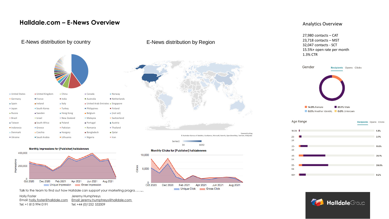## **Halldale.com – E-News Overview**

| <b>Holly Foster</b>  | Jeremy Humphreys                                                      |
|----------------------|-----------------------------------------------------------------------|
|                      | Email: holly.foster@halldale.com Email: jeremy.humphreys@halldale.com |
| Tel: +1 813 994 0191 | Tel: +44 (0) 1252 532009                                              |



## E-News distribution by country E-News distribution by Region



© Australian Bureau of Statistics, GeoNames, Microsoft, Navinfo, OpenStreetMap, TomTom, Wikipedia



Monthly Clicks for [Publisher] halldalenews



200,000 Oct 2020 Apr 2021 Aug 2021 Dec 2020 Feb 2021 Jun 2021 Unique Impression - Gross Impression

Monthly Impressions for [Publisher] halldalenews

400,000

Talk to the team to find out how Halldale can support your marketing programme.

### Analytics Overview

27,980 contacts – CAT 23,718 contacts – MST 32,047 contacts - SCT 15.5%+ open rate per month 1.3% CTR